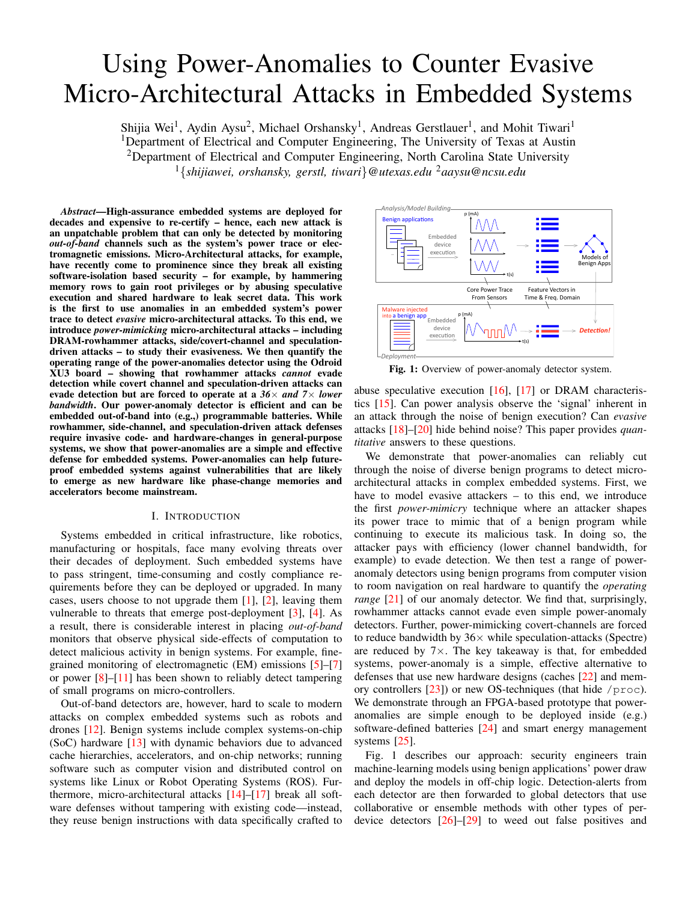# Using Power-Anomalies to Counter Evasive Micro-Architectural Attacks in Embedded Systems

Shijia Wei<sup>1</sup>, Aydin Aysu<sup>2</sup>, Michael Orshansky<sup>1</sup>, Andreas Gerstlauer<sup>1</sup>, and Mohit Tiwari<sup>1</sup> <sup>1</sup>Department of Electrical and Computer Engineering, The University of Texas at Austin <sup>2</sup>Department of Electrical and Computer Engineering, North Carolina State University <sup>1</sup>{*shijiawei, orshansky, gerstl, tiwari*}*@utexas.edu* <sup>2</sup>*aaysu@ncsu.edu*

*Abstract*—High-assurance embedded systems are deployed for decades and expensive to re-certify – hence, each new attack is an unpatchable problem that can only be detected by monitoring *out-of-band* channels such as the system's power trace or electromagnetic emissions. Micro-Architectural attacks, for example, have recently come to prominence since they break all existing software-isolation based security – for example, by hammering memory rows to gain root privileges or by abusing speculative execution and shared hardware to leak secret data. This work is the first to use anomalies in an embedded system's power trace to detect *evasive* micro-architectural attacks. To this end, we introduce *power-mimicking* micro-architectural attacks – including DRAM-rowhammer attacks, side/covert-channel and speculationdriven attacks – to study their evasiveness. We then quantify the operating range of the power-anomalies detector using the Odroid XU3 board – showing that rowhammer attacks *cannot* evade detection while covert channel and speculation-driven attacks can evade detection but are forced to operate at a *36*× *and 7*× *lower bandwidth*. Our power-anomaly detector is efficient and can be embedded out-of-band into (e.g.,) programmable batteries. While rowhammer, side-channel, and speculation-driven attack defenses require invasive code- and hardware-changes in general-purpose systems, we show that power-anomalies are a simple and effective defense for embedded systems. Power-anomalies can help futureproof embedded systems against vulnerabilities that are likely to emerge as new hardware like phase-change memories and accelerators become mainstream.

## I. INTRODUCTION

Systems embedded in critical infrastructure, like robotics, manufacturing or hospitals, face many evolving threats over their decades of deployment. Such embedded systems have to pass stringent, time-consuming and costly compliance requirements before they can be deployed or upgraded. In many cases, users choose to not upgrade them [\[1\]](#page-9-0), [\[2\]](#page-9-1), leaving them vulnerable to threats that emerge post-deployment [\[3\]](#page-9-2), [\[4\]](#page-9-3). As a result, there is considerable interest in placing *out-of-band* monitors that observe physical side-effects of computation to detect malicious activity in benign systems. For example, finegrained monitoring of electromagnetic (EM) emissions [\[5\]](#page-9-4)–[\[7\]](#page-9-5) or power  $[8]$ – $[11]$  has been shown to reliably detect tampering of small programs on micro-controllers.

Out-of-band detectors are, however, hard to scale to modern attacks on complex embedded systems such as robots and drones [\[12\]](#page-9-8). Benign systems include complex systems-on-chip (SoC) hardware [\[13\]](#page-9-9) with dynamic behaviors due to advanced cache hierarchies, accelerators, and on-chip networks; running software such as computer vision and distributed control on systems like Linux or Robot Operating Systems (ROS). Furthermore, micro-architectural attacks [\[14\]](#page-9-10)–[\[17\]](#page-9-11) break all software defenses without tampering with existing code—instead, they reuse benign instructions with data specifically crafted to

<span id="page-0-0"></span>

Fig. 1: Overview of power-anomaly detector system.

abuse speculative execution  $[16]$ ,  $[17]$  or DRAM characteristics [\[15\]](#page-9-13). Can power analysis observe the 'signal' inherent in an attack through the noise of benign execution? Can *evasive* attacks [\[18\]](#page-9-14)–[\[20\]](#page-9-15) hide behind noise? This paper provides *quantitative* answers to these questions.

We demonstrate that power-anomalies can reliably cut through the noise of diverse benign programs to detect microarchitectural attacks in complex embedded systems. First, we have to model evasive attackers – to this end, we introduce the first *power-mimicry* technique where an attacker shapes its power trace to mimic that of a benign program while continuing to execute its malicious task. In doing so, the attacker pays with efficiency (lower channel bandwidth, for example) to evade detection. We then test a range of poweranomaly detectors using benign programs from computer vision to room navigation on real hardware to quantify the *operating range* [\[21\]](#page-9-16) of our anomaly detector. We find that, surprisingly, rowhammer attacks cannot evade even simple power-anomaly detectors. Further, power-mimicking covert-channels are forced to reduce bandwidth by  $36\times$  while speculation-attacks (Spectre) are reduced by  $7\times$ . The key takeaway is that, for embedded systems, power-anomaly is a simple, effective alternative to defenses that use new hardware designs (caches [\[22\]](#page-9-17) and memory controllers  $[23]$ ) or new OS-techniques (that hide /proc). We demonstrate through an FPGA-based prototype that poweranomalies are simple enough to be deployed inside (e.g.) software-defined batteries [\[24\]](#page-9-19) and smart energy management systems [\[25\]](#page-9-20).

[Fig. 1](#page-0-0) describes our approach: security engineers train machine-learning models using benign applications' power draw and deploy the models in off-chip logic. Detection-alerts from each detector are then forwarded to global detectors that use collaborative or ensemble methods with other types of perdevice detectors [\[26\]](#page-9-21)–[\[29\]](#page-9-22) to weed out false positives and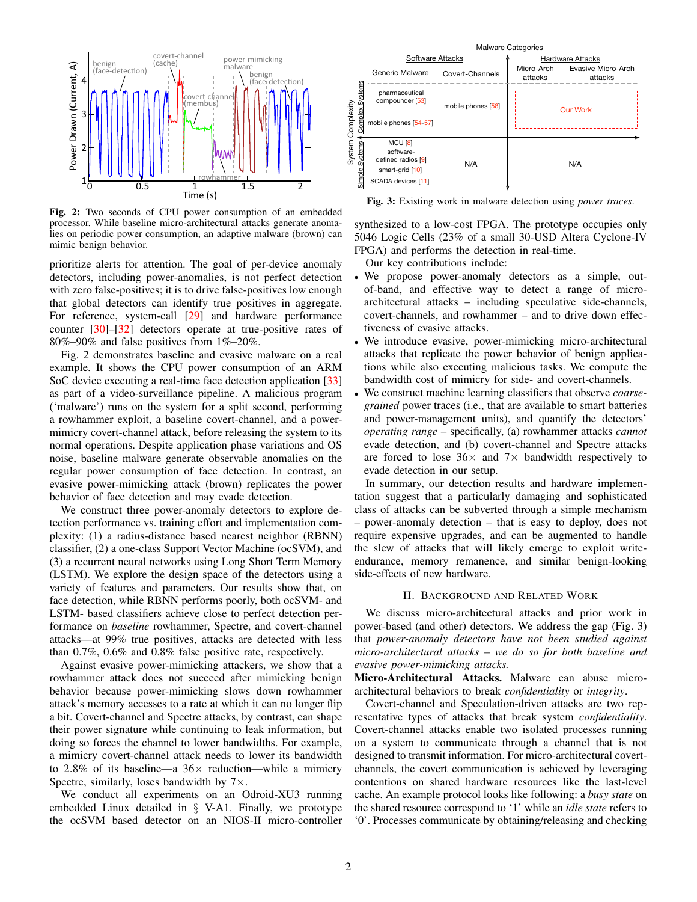<span id="page-1-0"></span>

Fig. 2: Two seconds of CPU power consumption of an embedded processor. While baseline micro-architectural attacks generate anomalies on periodic power consumption, an adaptive malware (brown) can mimic benign behavior.

prioritize alerts for attention. The goal of per-device anomaly detectors, including power-anomalies, is not perfect detection with zero false-positives; it is to drive false-positives low enough that global detectors can identify true positives in aggregate. For reference, system-call [\[29\]](#page-9-22) and hardware performance counter [\[30\]](#page-9-23)–[\[32\]](#page-9-24) detectors operate at true-positive rates of 80%–90% and false positives from 1%–20%.

[Fig. 2](#page-1-0) demonstrates baseline and evasive malware on a real example. It shows the CPU power consumption of an ARM SoC device executing a real-time face detection application [\[33\]](#page-9-25) as part of a video-surveillance pipeline. A malicious program ('malware') runs on the system for a split second, performing a rowhammer exploit, a baseline covert-channel, and a powermimicry covert-channel attack, before releasing the system to its normal operations. Despite application phase variations and OS noise, baseline malware generate observable anomalies on the regular power consumption of face detection. In contrast, an evasive power-mimicking attack (brown) replicates the power behavior of face detection and may evade detection.

We construct three power-anomaly detectors to explore detection performance vs. training effort and implementation complexity: (1) a radius-distance based nearest neighbor (RBNN) classifier, (2) a one-class Support Vector Machine (ocSVM), and (3) a recurrent neural networks using Long Short Term Memory (LSTM). We explore the design space of the detectors using a variety of features and parameters. Our results show that, on face detection, while RBNN performs poorly, both ocSVM- and LSTM- based classifiers achieve close to perfect detection performance on *baseline* rowhammer, Spectre, and covert-channel attacks—at 99% true positives, attacks are detected with less than 0.7%, 0.6% and 0.8% false positive rate, respectively.

Against evasive power-mimicking attackers, we show that a rowhammer attack does not succeed after mimicking benign behavior because power-mimicking slows down rowhammer attack's memory accesses to a rate at which it can no longer flip a bit. Covert-channel and Spectre attacks, by contrast, can shape their power signature while continuing to leak information, but doing so forces the channel to lower bandwidths. For example, a mimicry covert-channel attack needs to lower its bandwidth to 2.8% of its baseline—a  $36\times$  reduction—while a mimicry Spectre, similarly, loses bandwidth by  $7 \times$ .

We conduct all experiments on an Odroid-XU3 running embedded Linux detailed in § [V-A1.](#page-6-0) Finally, we prototype the ocSVM based detector on an NIOS-II micro-controller

<span id="page-1-1"></span>

Fig. 3: Existing work in malware detection using *power traces*.

synthesized to a low-cost FPGA. The prototype occupies only 5046 Logic Cells (23% of a small 30-USD Altera Cyclone-IV FPGA) and performs the detection in real-time.

Our key contributions include:

- We propose power-anomaly detectors as a simple, outof-band, and effective way to detect a range of microarchitectural attacks – including speculative side-channels, covert-channels, and rowhammer – and to drive down effectiveness of evasive attacks.
- We introduce evasive, power-mimicking micro-architectural attacks that replicate the power behavior of benign applications while also executing malicious tasks. We compute the bandwidth cost of mimicry for side- and covert-channels.
- We construct machine learning classifiers that observe *coarsegrained* power traces (i.e., that are available to smart batteries and power-management units), and quantify the detectors' *operating range* – specifically, (a) rowhammer attacks *cannot* evade detection, and (b) covert-channel and Spectre attacks are forced to lose  $36 \times$  and  $7 \times$  bandwidth respectively to evade detection in our setup.

In summary, our detection results and hardware implementation suggest that a particularly damaging and sophisticated class of attacks can be subverted through a simple mechanism – power-anomaly detection – that is easy to deploy, does not require expensive upgrades, and can be augmented to handle the slew of attacks that will likely emerge to exploit writeendurance, memory remanence, and similar benign-looking side-effects of new hardware.

## II. BACKGROUND AND RELATED WORK

<span id="page-1-2"></span>We discuss micro-architectural attacks and prior work in power-based (and other) detectors. We address the gap [\(Fig. 3\)](#page-1-1) that *power-anomaly detectors have not been studied against micro-architectural attacks – we do so for both baseline and evasive power-mimicking attacks.*

Micro-Architectural Attacks. Malware can abuse microarchitectural behaviors to break *confidentiality* or *integrity*.

Covert-channel and Speculation-driven attacks are two representative types of attacks that break system *confidentiality*. Covert-channel attacks enable two isolated processes running on a system to communicate through a channel that is not designed to transmit information. For micro-architectural covertchannels, the covert communication is achieved by leveraging contentions on shared hardware resources like the last-level cache. An example protocol looks like following: a *busy state* on the shared resource correspond to '1' while an *idle state* refers to '0'. Processes communicate by obtaining/releasing and checking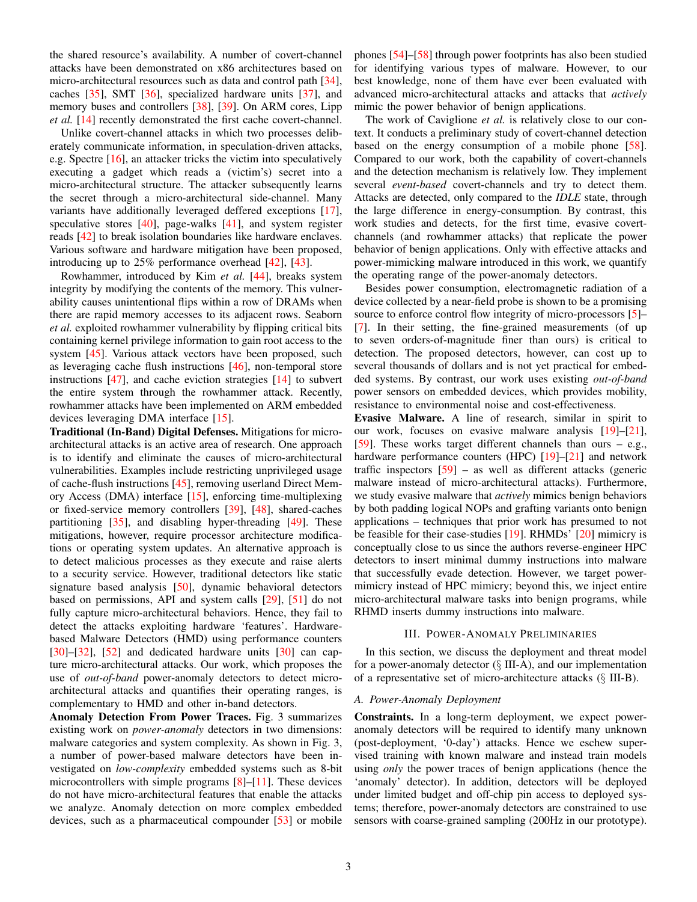the shared resource's availability. A number of covert-channel attacks have been demonstrated on x86 architectures based on micro-architectural resources such as data and control path [\[34\]](#page-9-26), caches [\[35\]](#page-9-27), SMT [\[36\]](#page-9-28), specialized hardware units [\[37\]](#page-9-29), and memory buses and controllers [\[38\]](#page-9-30), [\[39\]](#page-9-31). On ARM cores, Lipp *et al.* [\[14\]](#page-9-10) recently demonstrated the first cache covert-channel.

Unlike covert-channel attacks in which two processes deliberately communicate information, in speculation-driven attacks, e.g. Spectre [\[16\]](#page-9-12), an attacker tricks the victim into speculatively executing a gadget which reads a (victim's) secret into a micro-architectural structure. The attacker subsequently learns the secret through a micro-architectural side-channel. Many variants have additionally leveraged deffered exceptions [\[17\]](#page-9-11), speculative stores [\[40\]](#page-9-32), page-walks [\[41\]](#page-9-33), and system register reads [\[42\]](#page-9-34) to break isolation boundaries like hardware enclaves. Various software and hardware mitigation have been proposed, introducing up to 25% performance overhead [\[42\]](#page-9-34), [\[43\]](#page-9-35).

Rowhammer, introduced by Kim *et al.* [\[44\]](#page-9-36), breaks system integrity by modifying the contents of the memory. This vulnerability causes unintentional flips within a row of DRAMs when there are rapid memory accesses to its adjacent rows. Seaborn *et al.* exploited rowhammer vulnerability by flipping critical bits containing kernel privilege information to gain root access to the system [\[45\]](#page-9-37). Various attack vectors have been proposed, such as leveraging cache flush instructions [\[46\]](#page-9-38), non-temporal store instructions [\[47\]](#page-9-39), and cache eviction strategies [\[14\]](#page-9-10) to subvert the entire system through the rowhammer attack. Recently, rowhammer attacks have been implemented on ARM embedded devices leveraging DMA interface [\[15\]](#page-9-13).

Traditional (In-Band) Digital Defenses. Mitigations for microarchitectural attacks is an active area of research. One approach is to identify and eliminate the causes of micro-architectural vulnerabilities. Examples include restricting unprivileged usage of cache-flush instructions [\[45\]](#page-9-37), removing userland Direct Memory Access (DMA) interface [\[15\]](#page-9-13), enforcing time-multiplexing or fixed-service memory controllers [\[39\]](#page-9-31), [\[48\]](#page-9-40), shared-caches partitioning  $[35]$ , and disabling hyper-threading  $[49]$ . These mitigations, however, require processor architecture modifications or operating system updates. An alternative approach is to detect malicious processes as they execute and raise alerts to a security service. However, traditional detectors like static signature based analysis [\[50\]](#page-9-42), dynamic behavioral detectors based on permissions, API and system calls [\[29\]](#page-9-22), [\[51\]](#page-9-43) do not fully capture micro-architectural behaviors. Hence, they fail to detect the attacks exploiting hardware 'features'. Hardwarebased Malware Detectors (HMD) using performance counters  $[30]$ – $[32]$ ,  $[52]$  and dedicated hardware units  $[30]$  can capture micro-architectural attacks. Our work, which proposes the use of *out-of-band* power-anomaly detectors to detect microarchitectural attacks and quantifies their operating ranges, is complementary to HMD and other in-band detectors.

Anomaly Detection From Power Traces. [Fig. 3](#page-1-1) summarizes existing work on *power-anomaly* detectors in two dimensions: malware categories and system complexity. As shown in [Fig. 3,](#page-1-1) a number of power-based malware detectors have been investigated on *low-complexity* embedded systems such as 8-bit microcontrollers with simple programs [\[8\]](#page-9-6)–[\[11\]](#page-9-7). These devices do not have micro-architectural features that enable the attacks we analyze. Anomaly detection on more complex embedded devices, such as a pharmaceutical compounder [\[53\]](#page-9-45) or mobile

phones [\[54\]](#page-9-46)–[\[58\]](#page-9-47) through power footprints has also been studied for identifying various types of malware. However, to our best knowledge, none of them have ever been evaluated with advanced micro-architectural attacks and attacks that *actively* mimic the power behavior of benign applications.

The work of Caviglione *et al.* is relatively close to our context. It conducts a preliminary study of covert-channel detection based on the energy consumption of a mobile phone [\[58\]](#page-9-47). Compared to our work, both the capability of covert-channels and the detection mechanism is relatively low. They implement several *event-based* covert-channels and try to detect them. Attacks are detected, only compared to the *IDLE* state, through the large difference in energy-consumption. By contrast, this work studies and detects, for the first time, evasive covertchannels (and rowhammer attacks) that replicate the power behavior of benign applications. Only with effective attacks and power-mimicking malware introduced in this work, we quantify the operating range of the power-anomaly detectors.

Besides power consumption, electromagnetic radiation of a device collected by a near-field probe is shown to be a promising source to enforce control flow integrity of micro-processors [\[5\]](#page-9-4)– [\[7\]](#page-9-5). In their setting, the fine-grained measurements (of up to seven orders-of-magnitude finer than ours) is critical to detection. The proposed detectors, however, can cost up to several thousands of dollars and is not yet practical for embedded systems. By contrast, our work uses existing *out-of-band* power sensors on embedded devices, which provides mobility, resistance to environmental noise and cost-effectiveness.

Evasive Malware. A line of research, similar in spirit to our work, focuses on evasive malware analysis [\[19\]](#page-9-48)–[\[21\]](#page-9-16), [\[59\]](#page-9-49). These works target different channels than ours – e.g., hardware performance counters (HPC) [\[19\]](#page-9-48)-[\[21\]](#page-9-16) and network traffic inspectors [\[59\]](#page-9-49) – as well as different attacks (generic malware instead of micro-architectural attacks). Furthermore, we study evasive malware that *actively* mimics benign behaviors by both padding logical NOPs and grafting variants onto benign applications – techniques that prior work has presumed to not be feasible for their case-studies [\[19\]](#page-9-48). RHMDs' [\[20\]](#page-9-15) mimicry is conceptually close to us since the authors reverse-engineer HPC detectors to insert minimal dummy instructions into malware that successfully evade detection. However, we target powermimicry instead of HPC mimicry; beyond this, we inject entire micro-architectural malware tasks into benign programs, while RHMD inserts dummy instructions into malware.

## III. POWER-ANOMALY PRELIMINARIES

In this section, we discuss the deployment and threat model for a power-anomaly detector  $(\S$  [III-A\)](#page-2-0), and our implementation of a representative set of micro-architecture attacks (§ [III-B\)](#page-3-0).

## <span id="page-2-0"></span>*A. Power-Anomaly Deployment*

Constraints. In a long-term deployment, we expect poweranomaly detectors will be required to identify many unknown (post-deployment, '0-day') attacks. Hence we eschew supervised training with known malware and instead train models using *only* the power traces of benign applications (hence the 'anomaly' detector). In addition, detectors will be deployed under limited budget and off-chip pin access to deployed systems; therefore, power-anomaly detectors are constrained to use sensors with coarse-grained sampling (200Hz in our prototype).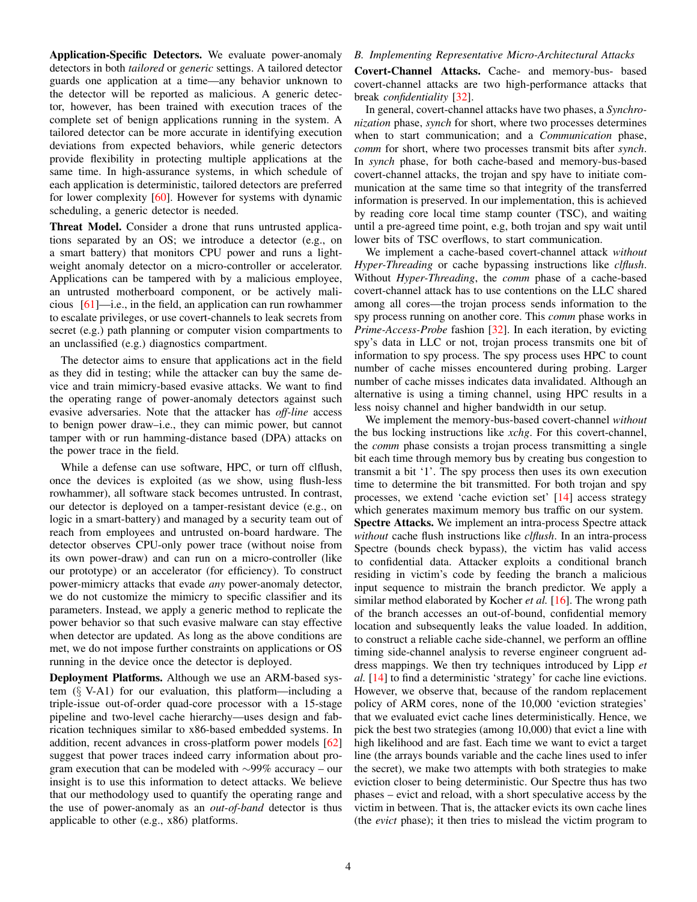Application-Specific Detectors. We evaluate power-anomaly detectors in both *tailored* or *generic* settings. A tailored detector guards one application at a time—any behavior unknown to the detector will be reported as malicious. A generic detector, however, has been trained with execution traces of the complete set of benign applications running in the system. A tailored detector can be more accurate in identifying execution deviations from expected behaviors, while generic detectors provide flexibility in protecting multiple applications at the same time. In high-assurance systems, in which schedule of each application is deterministic, tailored detectors are preferred for lower complexity [\[60\]](#page-9-50). However for systems with dynamic scheduling, a generic detector is needed.

Threat Model. Consider a drone that runs untrusted applications separated by an OS; we introduce a detector (e.g., on a smart battery) that monitors CPU power and runs a lightweight anomaly detector on a micro-controller or accelerator. Applications can be tampered with by a malicious employee, an untrusted motherboard component, or be actively malicious [\[61\]](#page-9-51)—i.e., in the field, an application can run rowhammer to escalate privileges, or use covert-channels to leak secrets from secret (e.g.) path planning or computer vision compartments to an unclassified (e.g.) diagnostics compartment.

The detector aims to ensure that applications act in the field as they did in testing; while the attacker can buy the same device and train mimicry-based evasive attacks. We want to find the operating range of power-anomaly detectors against such evasive adversaries. Note that the attacker has *off-line* access to benign power draw–i.e., they can mimic power, but cannot tamper with or run hamming-distance based (DPA) attacks on the power trace in the field.

While a defense can use software, HPC, or turn off clflush, once the devices is exploited (as we show, using flush-less rowhammer), all software stack becomes untrusted. In contrast, our detector is deployed on a tamper-resistant device (e.g., on logic in a smart-battery) and managed by a security team out of reach from employees and untrusted on-board hardware. The detector observes CPU-only power trace (without noise from its own power-draw) and can run on a micro-controller (like our prototype) or an accelerator (for efficiency). To construct power-mimicry attacks that evade *any* power-anomaly detector, we do not customize the mimicry to specific classifier and its parameters. Instead, we apply a generic method to replicate the power behavior so that such evasive malware can stay effective when detector are updated. As long as the above conditions are met, we do not impose further constraints on applications or OS running in the device once the detector is deployed.

Deployment Platforms. Although we use an ARM-based system (§ [V-A1\)](#page-6-0) for our evaluation, this platform—including a triple-issue out-of-order quad-core processor with a 15-stage pipeline and two-level cache hierarchy—uses design and fabrication techniques similar to x86-based embedded systems. In addition, recent advances in cross-platform power models [\[62\]](#page-9-52) suggest that power traces indeed carry information about program execution that can be modeled with ∼99% accuracy – our insight is to use this information to detect attacks. We believe that our methodology used to quantify the operating range and the use of power-anomaly as an *out-of-band* detector is thus applicable to other (e.g., x86) platforms.

## <span id="page-3-0"></span>*B. Implementing Representative Micro-Architectural Attacks*

Covert-Channel Attacks. Cache- and memory-bus- based covert-channel attacks are two high-performance attacks that break *confidentiality* [\[32\]](#page-9-24).

In general, covert-channel attacks have two phases, a *Synchronization* phase, *synch* for short, where two processes determines when to start communication; and a *Communication* phase, *comm* for short, where two processes transmit bits after *synch*. In *synch* phase, for both cache-based and memory-bus-based covert-channel attacks, the trojan and spy have to initiate communication at the same time so that integrity of the transferred information is preserved. In our implementation, this is achieved by reading core local time stamp counter (TSC), and waiting until a pre-agreed time point, e.g, both trojan and spy wait until lower bits of TSC overflows, to start communication.

We implement a cache-based covert-channel attack *without Hyper-Threading* or cache bypassing instructions like *clflush*. Without *Hyper-Threading*, the *comm* phase of a cache-based covert-channel attack has to use contentions on the LLC shared among all cores—the trojan process sends information to the spy process running on another core. This *comm* phase works in *Prime-Access-Probe* fashion [\[32\]](#page-9-24). In each iteration, by evicting spy's data in LLC or not, trojan process transmits one bit of information to spy process. The spy process uses HPC to count number of cache misses encountered during probing. Larger number of cache misses indicates data invalidated. Although an alternative is using a timing channel, using HPC results in a less noisy channel and higher bandwidth in our setup.

We implement the memory-bus-based covert-channel *without* the bus locking instructions like *xchg*. For this covert-channel, the *comm* phase consists a trojan process transmitting a single bit each time through memory bus by creating bus congestion to transmit a bit '1'. The spy process then uses its own execution time to determine the bit transmitted. For both trojan and spy processes, we extend 'cache eviction set' [\[14\]](#page-9-10) access strategy which generates maximum memory bus traffic on our system. Spectre Attacks. We implement an intra-process Spectre attack *without* cache flush instructions like *clflush*. In an intra-process Spectre (bounds check bypass), the victim has valid access to confidential data. Attacker exploits a conditional branch residing in victim's code by feeding the branch a malicious input sequence to mistrain the branch predictor. We apply a similar method elaborated by Kocher *et al.* [\[16\]](#page-9-12). The wrong path of the branch accesses an out-of-bound, confidential memory location and subsequently leaks the value loaded. In addition, to construct a reliable cache side-channel, we perform an offline timing side-channel analysis to reverse engineer congruent address mappings. We then try techniques introduced by Lipp *et al.* [\[14\]](#page-9-10) to find a deterministic 'strategy' for cache line evictions. However, we observe that, because of the random replacement policy of ARM cores, none of the 10,000 'eviction strategies' that we evaluated evict cache lines deterministically. Hence, we pick the best two strategies (among 10,000) that evict a line with high likelihood and are fast. Each time we want to evict a target line (the arrays bounds variable and the cache lines used to infer the secret), we make two attempts with both strategies to make eviction closer to being deterministic. Our Spectre thus has two phases – evict and reload, with a short speculative access by the victim in between. That is, the attacker evicts its own cache lines (the *evict* phase); it then tries to mislead the victim program to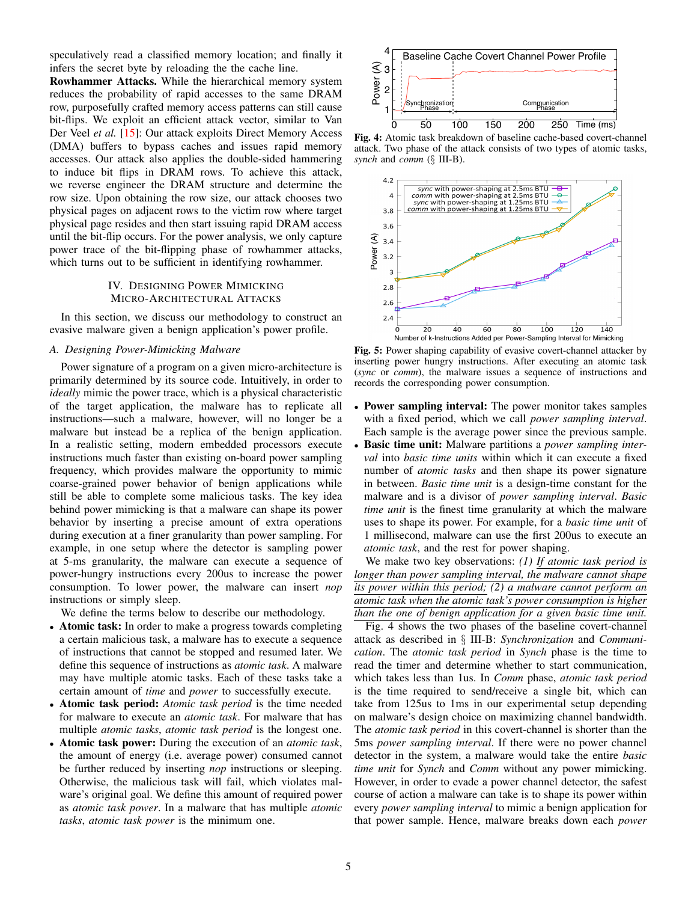speculatively read a classified memory location; and finally it infers the secret byte by reloading the the cache line.

Rowhammer Attacks. While the hierarchical memory system reduces the probability of rapid accesses to the same DRAM row, purposefully crafted memory access patterns can still cause bit-flips. We exploit an efficient attack vector, similar to Van Der Veel *et al.* [\[15\]](#page-9-13): Our attack exploits Direct Memory Access (DMA) buffers to bypass caches and issues rapid memory accesses. Our attack also applies the double-sided hammering to induce bit flips in DRAM rows. To achieve this attack, we reverse engineer the DRAM structure and determine the row size. Upon obtaining the row size, our attack chooses two physical pages on adjacent rows to the victim row where target physical page resides and then start issuing rapid DRAM access until the bit-flip occurs. For the power analysis, we only capture power trace of the bit-flipping phase of rowhammer attacks, which turns out to be sufficient in identifying rowhammer.

## IV. DESIGNING POWER MIMICKING MICRO-ARCHITECTURAL ATTACKS

In this section, we discuss our methodology to construct an evasive malware given a benign application's power profile.

## <span id="page-4-2"></span>*A. Designing Power-Mimicking Malware*

Power signature of a program on a given micro-architecture is primarily determined by its source code. Intuitively, in order to *ideally* mimic the power trace, which is a physical characteristic of the target application, the malware has to replicate all instructions—such a malware, however, will no longer be a malware but instead be a replica of the benign application. In a realistic setting, modern embedded processors execute instructions much faster than existing on-board power sampling frequency, which provides malware the opportunity to mimic coarse-grained power behavior of benign applications while still be able to complete some malicious tasks. The key idea behind power mimicking is that a malware can shape its power behavior by inserting a precise amount of extra operations during execution at a finer granularity than power sampling. For example, in one setup where the detector is sampling power at 5-ms granularity, the malware can execute a sequence of power-hungry instructions every 200us to increase the power consumption. To lower power, the malware can insert *nop* instructions or simply sleep.

We define the terms below to describe our methodology.

- Atomic task: In order to make a progress towards completing a certain malicious task, a malware has to execute a sequence of instructions that cannot be stopped and resumed later. We define this sequence of instructions as *atomic task*. A malware may have multiple atomic tasks. Each of these tasks take a certain amount of *time* and *power* to successfully execute.
- Atomic task period: *Atomic task period* is the time needed for malware to execute an *atomic task*. For malware that has multiple *atomic tasks*, *atomic task period* is the longest one.
- Atomic task power: During the execution of an *atomic task*, the amount of energy (i.e. average power) consumed cannot be further reduced by inserting *nop* instructions or sleeping. Otherwise, the malicious task will fail, which violates malware's original goal. We define this amount of required power as *atomic task power*. In a malware that has multiple *atomic tasks*, *atomic task power* is the minimum one.

<span id="page-4-0"></span>

Fig. 4: Atomic task breakdown of baseline cache-based covert-channel attack. Two phase of the attack consists of two types of atomic tasks, *synch* and *comm* (§ [III-B\)](#page-3-0).

<span id="page-4-1"></span>

Fig. 5: Power shaping capability of evasive covert-channel attacker by inserting power hungry instructions. After executing an atomic task (*sync* or *comm*), the malware issues a sequence of instructions and records the corresponding power consumption.

- Power sampling interval: The power monitor takes samples with a fixed period, which we call *power sampling interval*. Each sample is the average power since the previous sample.
- Basic time unit: Malware partitions a *power sampling interval* into *basic time units* within which it can execute a fixed number of *atomic tasks* and then shape its power signature in between. *Basic time unit* is a design-time constant for the malware and is a divisor of *power sampling interval*. *Basic time unit* is the finest time granularity at which the malware uses to shape its power. For example, for a *basic time unit* of 1 millisecond, malware can use the first 200us to execute an *atomic task*, and the rest for power shaping.

We make two key observations: *(1) If atomic task period is longer than power sampling interval, the malware cannot shape its power within this period; (2) a malware cannot perform an atomic task when the atomic task's power consumption is higher than the one of benign application for a given basic time unit.*

[Fig. 4](#page-4-0) shows the two phases of the baseline covert-channel attack as described in § [III-B:](#page-3-0) *Synchronization* and *Communication*. The *atomic task period* in *Synch* phase is the time to read the timer and determine whether to start communication, which takes less than 1us. In *Comm* phase, *atomic task period* is the time required to send/receive a single bit, which can take from 125us to 1ms in our experimental setup depending on malware's design choice on maximizing channel bandwidth. The *atomic task period* in this covert-channel is shorter than the 5ms *power sampling interval*. If there were no power channel detector in the system, a malware would take the entire *basic time unit* for *Synch* and *Comm* without any power mimicking. However, in order to evade a power channel detector, the safest course of action a malware can take is to shape its power within every *power sampling interval* to mimic a benign application for that power sample. Hence, malware breaks down each *power*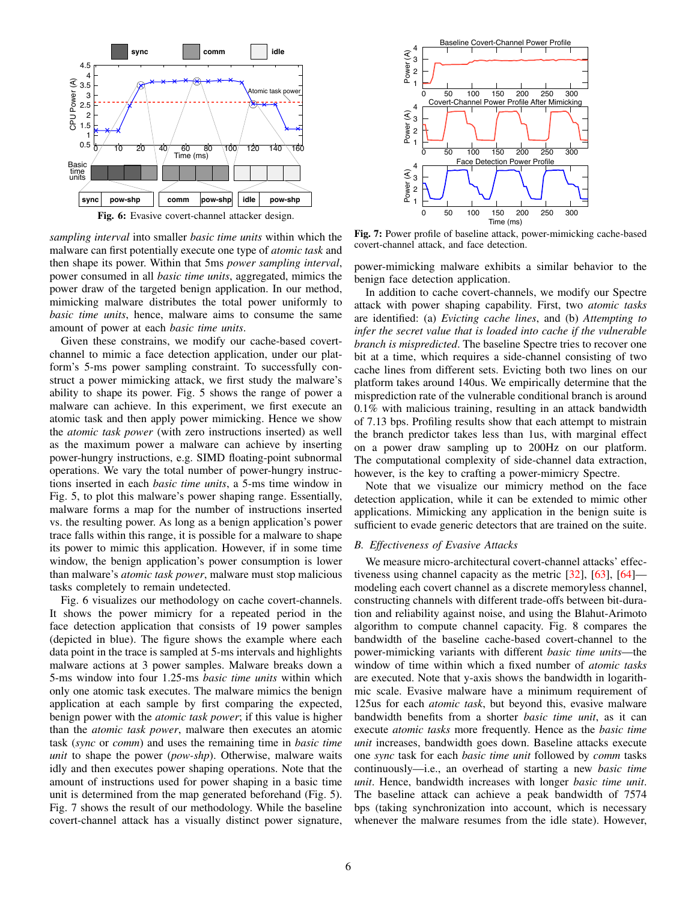<span id="page-5-0"></span>

Fig. 6: Evasive covert-channel attacker design.

*sampling interval* into smaller *basic time units* within which the malware can first potentially execute one type of *atomic task* and then shape its power. Within that 5ms *power sampling interval*, power consumed in all *basic time units*, aggregated, mimics the power draw of the targeted benign application. In our method, mimicking malware distributes the total power uniformly to *basic time units*, hence, malware aims to consume the same amount of power at each *basic time units*.

Given these constrains, we modify our cache-based covertchannel to mimic a face detection application, under our platform's 5-ms power sampling constraint. To successfully construct a power mimicking attack, we first study the malware's ability to shape its power. [Fig. 5](#page-4-1) shows the range of power a malware can achieve. In this experiment, we first execute an atomic task and then apply power mimicking. Hence we show the *atomic task power* (with zero instructions inserted) as well as the maximum power a malware can achieve by inserting power-hungry instructions, e.g. SIMD floating-point subnormal operations. We vary the total number of power-hungry instructions inserted in each *basic time units*, a 5-ms time window in [Fig. 5,](#page-4-1) to plot this malware's power shaping range. Essentially, malware forms a map for the number of instructions inserted vs. the resulting power. As long as a benign application's power trace falls within this range, it is possible for a malware to shape its power to mimic this application. However, if in some time window, the benign application's power consumption is lower than malware's *atomic task power*, malware must stop malicious tasks completely to remain undetected.

[Fig. 6](#page-5-0) visualizes our methodology on cache covert-channels. It shows the power mimicry for a repeated period in the face detection application that consists of 19 power samples (depicted in blue). The figure shows the example where each data point in the trace is sampled at 5-ms intervals and highlights malware actions at 3 power samples. Malware breaks down a 5-ms window into four 1.25-ms *basic time units* within which only one atomic task executes. The malware mimics the benign application at each sample by first comparing the expected, benign power with the *atomic task power*; if this value is higher than the *atomic task power*, malware then executes an atomic task (*sync* or *comm*) and uses the remaining time in *basic time unit* to shape the power (*pow-shp*). Otherwise, malware waits idly and then executes power shaping operations. Note that the amount of instructions used for power shaping in a basic time unit is determined from the map generated beforehand [\(Fig. 5\)](#page-4-1). [Fig. 7](#page-5-1) shows the result of our methodology. While the baseline covert-channel attack has a visually distinct power signature,

<span id="page-5-1"></span>

Fig. 7: Power profile of baseline attack, power-mimicking cache-based covert-channel attack, and face detection.

power-mimicking malware exhibits a similar behavior to the benign face detection application.

In addition to cache covert-channels, we modify our Spectre attack with power shaping capability. First, two *atomic tasks* are identified: (a) *Evicting cache lines*, and (b) *Attempting to infer the secret value that is loaded into cache if the vulnerable branch is mispredicted*. The baseline Spectre tries to recover one bit at a time, which requires a side-channel consisting of two cache lines from different sets. Evicting both two lines on our platform takes around 140us. We empirically determine that the misprediction rate of the vulnerable conditional branch is around 0.1% with malicious training, resulting in an attack bandwidth of 7.13 bps. Profiling results show that each attempt to mistrain the branch predictor takes less than 1us, with marginal effect on a power draw sampling up to 200Hz on our platform. The computational complexity of side-channel data extraction, however, is the key to crafting a power-mimicry Spectre.

Note that we visualize our mimicry method on the face detection application, while it can be extended to mimic other applications. Mimicking any application in the benign suite is sufficient to evade generic detectors that are trained on the suite.

## *B. Effectiveness of Evasive Attacks*

We measure micro-architectural covert-channel attacks' effectiveness using channel capacity as the metric [\[32\]](#page-9-24), [\[63\]](#page-9-53), [\[64\]](#page-9-54) modeling each covert channel as a discrete memoryless channel, constructing channels with different trade-offs between bit-duration and reliability against noise, and using the Blahut-Arimoto algorithm to compute channel capacity. [Fig. 8](#page-6-1) compares the bandwidth of the baseline cache-based covert-channel to the power-mimicking variants with different *basic time units*—the window of time within which a fixed number of *atomic tasks* are executed. Note that y-axis shows the bandwidth in logarithmic scale. Evasive malware have a minimum requirement of 125us for each *atomic task*, but beyond this, evasive malware bandwidth benefits from a shorter *basic time unit*, as it can execute *atomic tasks* more frequently. Hence as the *basic time unit* increases, bandwidth goes down. Baseline attacks execute one *sync* task for each *basic time unit* followed by *comm* tasks continuously—i.e., an overhead of starting a new *basic time unit*. Hence, bandwidth increases with longer *basic time unit*. The baseline attack can achieve a peak bandwidth of 7574 bps (taking synchronization into account, which is necessary whenever the malware resumes from the idle state). However,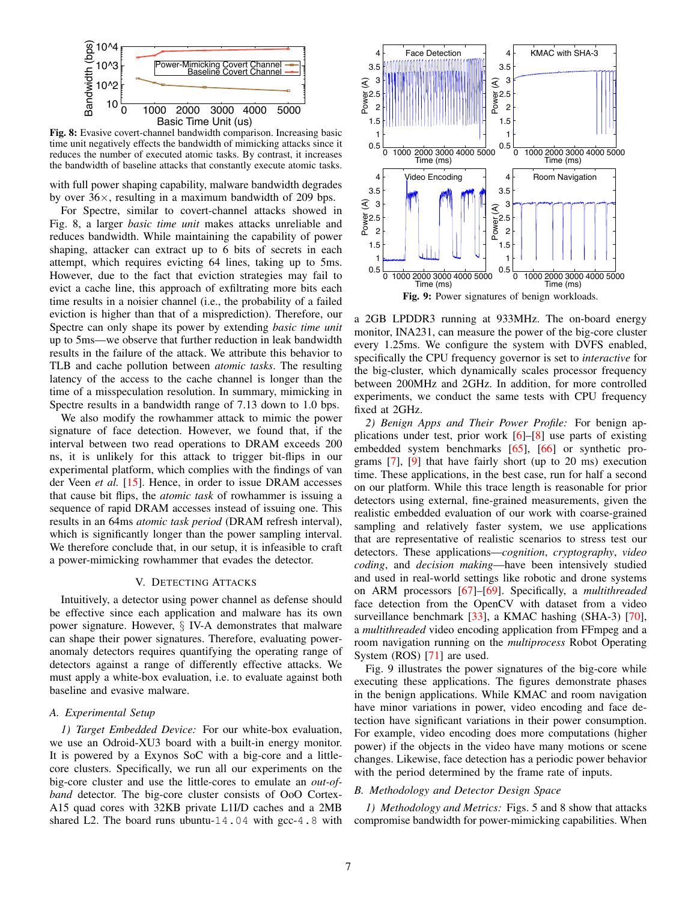<span id="page-6-1"></span>

Fig. 8: Evasive covert-channel bandwidth comparison. Increasing basic time unit negatively effects the bandwidth of mimicking attacks since it reduces the number of executed atomic tasks. By contrast, it increases the bandwidth of baseline attacks that constantly execute atomic tasks.

with full power shaping capability, malware bandwidth degrades by over  $36\times$ , resulting in a maximum bandwidth of 209 bps.

For Spectre, similar to covert-channel attacks showed in [Fig. 8,](#page-6-1) a larger *basic time unit* makes attacks unreliable and reduces bandwidth. While maintaining the capability of power shaping, attacker can extract up to 6 bits of secrets in each attempt, which requires evicting 64 lines, taking up to 5ms. However, due to the fact that eviction strategies may fail to evict a cache line, this approach of exfiltrating more bits each time results in a noisier channel (i.e., the probability of a failed eviction is higher than that of a misprediction). Therefore, our Spectre can only shape its power by extending *basic time unit* up to 5ms—we observe that further reduction in leak bandwidth results in the failure of the attack. We attribute this behavior to TLB and cache pollution between *atomic tasks*. The resulting latency of the access to the cache channel is longer than the time of a misspeculation resolution. In summary, mimicking in Spectre results in a bandwidth range of 7.13 down to 1.0 bps.

We also modify the rowhammer attack to mimic the power signature of face detection. However, we found that, if the interval between two read operations to DRAM exceeds 200 ns, it is unlikely for this attack to trigger bit-flips in our experimental platform, which complies with the findings of van der Veen *et al.* [\[15\]](#page-9-13). Hence, in order to issue DRAM accesses that cause bit flips, the *atomic task* of rowhammer is issuing a sequence of rapid DRAM accesses instead of issuing one. This results in an 64ms *atomic task period* (DRAM refresh interval), which is significantly longer than the power sampling interval. We therefore conclude that, in our setup, it is infeasible to craft a power-mimicking rowhammer that evades the detector.

### V. DETECTING ATTACKS

Intuitively, a detector using power channel as defense should be effective since each application and malware has its own power signature. However, § [IV-A](#page-4-2) demonstrates that malware can shape their power signatures. Therefore, evaluating poweranomaly detectors requires quantifying the operating range of detectors against a range of differently effective attacks. We must apply a white-box evaluation, i.e. to evaluate against both baseline and evasive malware.

## <span id="page-6-3"></span>*A. Experimental Setup*

<span id="page-6-0"></span>*1) Target Embedded Device:* For our white-box evaluation, we use an Odroid-XU3 board with a built-in energy monitor. It is powered by a Exynos SoC with a big-core and a littlecore clusters. Specifically, we run all our experiments on the big-core cluster and use the little-cores to emulate an *out-ofband* detector. The big-core cluster consists of OoO Cortex-A15 quad cores with 32KB private L1I/D caches and a 2MB shared L2. The board runs ubuntu-14.04 with gcc-4.8 with

<span id="page-6-2"></span>

Fig. 9: Power signatures of benign workloads.

a 2GB LPDDR3 running at 933MHz. The on-board energy monitor, INA231, can measure the power of the big-core cluster every 1.25ms. We configure the system with DVFS enabled, specifically the CPU frequency governor is set to *interactive* for the big-cluster, which dynamically scales processor frequency between 200MHz and 2GHz. In addition, for more controlled experiments, we conduct the same tests with CPU frequency fixed at 2GHz.

*2) Benign Apps and Their Power Profile:* For benign applications under test, prior work  $[6]-[8]$  $[6]-[8]$  $[6]-[8]$  use parts of existing embedded system benchmarks [\[65\]](#page-9-56), [\[66\]](#page-9-57) or synthetic programs [\[7\]](#page-9-5), [\[9\]](#page-9-58) that have fairly short (up to 20 ms) execution time. These applications, in the best case, run for half a second on our platform. While this trace length is reasonable for prior detectors using external, fine-grained measurements, given the realistic embedded evaluation of our work with coarse-grained sampling and relatively faster system, we use applications that are representative of realistic scenarios to stress test our detectors. These applications—*cognition*, *cryptography*, *video coding*, and *decision making*—have been intensively studied and used in real-world settings like robotic and drone systems on ARM processors [\[67\]](#page-9-59)–[\[69\]](#page-9-60). Specifically, a *multithreaded* face detection from the OpenCV with dataset from a video surveillance benchmark [\[33\]](#page-9-25), a KMAC hashing (SHA-3) [\[70\]](#page-9-61), a *multithreaded* video encoding application from FFmpeg and a room navigation running on the *multiprocess* Robot Operating System (ROS) [\[71\]](#page-9-62) are used.

[Fig. 9](#page-6-2) illustrates the power signatures of the big-core while executing these applications. The figures demonstrate phases in the benign applications. While KMAC and room navigation have minor variations in power, video encoding and face detection have significant variations in their power consumption. For example, video encoding does more computations (higher power) if the objects in the video have many motions or scene changes. Likewise, face detection has a periodic power behavior with the period determined by the frame rate of inputs.

## *B. Methodology and Detector Design Space*

*1) Methodology and Metrics:* [Figs. 5](#page-4-1) and [8](#page-6-1) show that attacks compromise bandwidth for power-mimicking capabilities. When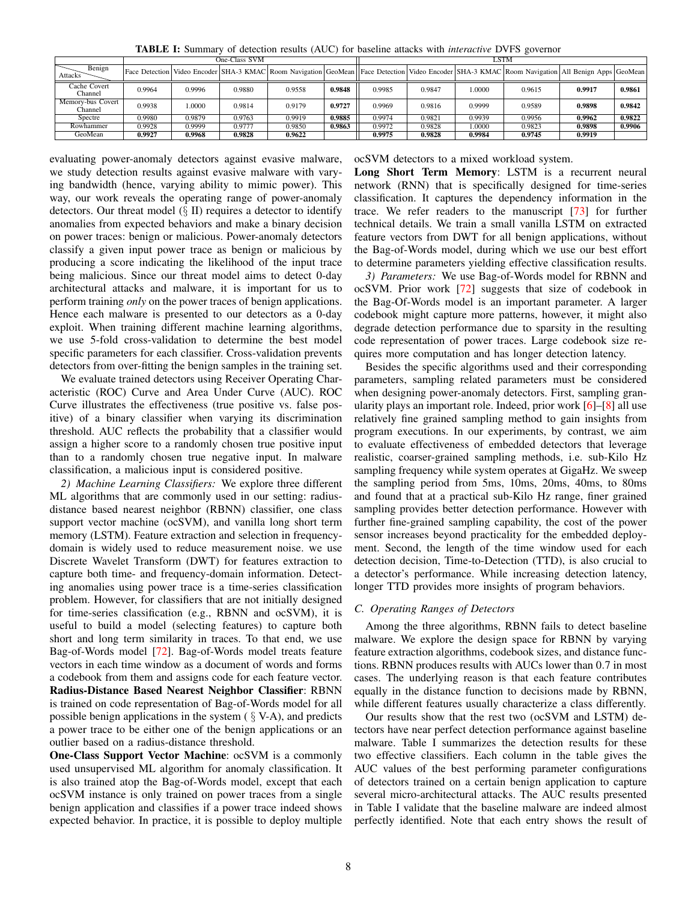<span id="page-7-0"></span> $\overline{\text{One-Class SVM}}$ Attacks Benign Face Detection Video Encoder SHA-3 KMAC Room Navigation GeoMean Face Detection Video Encoder SHA-3 KMAC Room Navigation All Benign Apps GeoMean Cache Covert<br>Channel спестом россий про 1996 0.9880 0.9558 **0.9848** 0.9985 0.9847 1.0000 0.9615 **0.9917 0.9861** 0.99<br>Спаппеl nory-bus Covert 0.91 Channel 0.9938 | 1.0000 | 0.9814 | 0.9179 | **0.9727** || 0.9969 | 0.9816 | 0.9999 | 0.9589 | **0.9898 | 0.9842**<br>Channel Spectre | 0.9980 | 0.9879 | 0.9763 | 0.9919 | **0.9885** || 0.9974 | 0.9821 | 0.9939 | 0.9956 | 0**.9962 | 0.9822** Rowhammer 0.9928 0.9999 0.9777 0.9850 **0.9863** 0.9972 0.9828 1.0000 0.9823 **0.9898 0.9906** GeoMean | 0.9927 | 0.9968 | 0.9828 | 0.9622 | | 0.9975 | 0.9828 | 0.9984 | 0.9745 | 0.9919

TABLE I: Summary of detection results (AUC) for baseline attacks with *interactive* DVFS governor

evaluating power-anomaly detectors against evasive malware, we study detection results against evasive malware with varying bandwidth (hence, varying ability to mimic power). This way, our work reveals the operating range of power-anomaly detectors. Our threat model  $(\S \text{II})$  requires a detector to identify anomalies from expected behaviors and make a binary decision on power traces: benign or malicious. Power-anomaly detectors classify a given input power trace as benign or malicious by producing a score indicating the likelihood of the input trace being malicious. Since our threat model aims to detect 0-day architectural attacks and malware, it is important for us to perform training *only* on the power traces of benign applications. Hence each malware is presented to our detectors as a 0-day exploit. When training different machine learning algorithms, we use 5-fold cross-validation to determine the best model specific parameters for each classifier. Cross-validation prevents detectors from over-fitting the benign samples in the training set.

We evaluate trained detectors using Receiver Operating Characteristic (ROC) Curve and Area Under Curve (AUC). ROC Curve illustrates the effectiveness (true positive vs. false positive) of a binary classifier when varying its discrimination threshold. AUC reflects the probability that a classifier would assign a higher score to a randomly chosen true positive input than to a randomly chosen true negative input. In malware classification, a malicious input is considered positive.

*2) Machine Learning Classifiers:* We explore three different ML algorithms that are commonly used in our setting: radiusdistance based nearest neighbor (RBNN) classifier, one class support vector machine (ocSVM), and vanilla long short term memory (LSTM). Feature extraction and selection in frequencydomain is widely used to reduce measurement noise. we use Discrete Wavelet Transform (DWT) for features extraction to capture both time- and frequency-domain information. Detecting anomalies using power trace is a time-series classification problem. However, for classifiers that are not initially designed for time-series classification (e.g., RBNN and ocSVM), it is useful to build a model (selecting features) to capture both short and long term similarity in traces. To that end, we use Bag-of-Words model [\[72\]](#page-9-63). Bag-of-Words model treats feature vectors in each time window as a document of words and forms a codebook from them and assigns code for each feature vector. Radius-Distance Based Nearest Neighbor Classifier: RBNN is trained on code representation of Bag-of-Words model for all possible benign applications in the system  $(\S V-A)$  $(\S V-A)$ , and predicts a power trace to be either one of the benign applications or an outlier based on a radius-distance threshold.

One-Class Support Vector Machine: ocSVM is a commonly used unsupervised ML algorithm for anomaly classification. It is also trained atop the Bag-of-Words model, except that each ocSVM instance is only trained on power traces from a single benign application and classifies if a power trace indeed shows expected behavior. In practice, it is possible to deploy multiple

## ocSVM detectors to a mixed workload system.

Long Short Term Memory: LSTM is a recurrent neural network (RNN) that is specifically designed for time-series classification. It captures the dependency information in the trace. We refer readers to the manuscript [\[73\]](#page-9-64) for further technical details. We train a small vanilla LSTM on extracted feature vectors from DWT for all benign applications, without the Bag-of-Words model, during which we use our best effort to determine parameters yielding effective classification results.

*3) Parameters:* We use Bag-of-Words model for RBNN and ocSVM. Prior work [\[72\]](#page-9-63) suggests that size of codebook in the Bag-Of-Words model is an important parameter. A larger codebook might capture more patterns, however, it might also degrade detection performance due to sparsity in the resulting code representation of power traces. Large codebook size requires more computation and has longer detection latency.

Besides the specific algorithms used and their corresponding parameters, sampling related parameters must be considered when designing power-anomaly detectors. First, sampling granularity plays an important role. Indeed, prior work [\[6\]](#page-9-55)–[\[8\]](#page-9-6) all use relatively fine grained sampling method to gain insights from program executions. In our experiments, by contrast, we aim to evaluate effectiveness of embedded detectors that leverage realistic, coarser-grained sampling methods, i.e. sub-Kilo Hz sampling frequency while system operates at GigaHz. We sweep the sampling period from 5ms, 10ms, 20ms, 40ms, to 80ms and found that at a practical sub-Kilo Hz range, finer grained sampling provides better detection performance. However with further fine-grained sampling capability, the cost of the power sensor increases beyond practicality for the embedded deployment. Second, the length of the time window used for each detection decision, Time-to-Detection (TTD), is also crucial to a detector's performance. While increasing detection latency, longer TTD provides more insights of program behaviors.

## *C. Operating Ranges of Detectors*

Among the three algorithms, RBNN fails to detect baseline malware. We explore the design space for RBNN by varying feature extraction algorithms, codebook sizes, and distance functions. RBNN produces results with AUCs lower than 0.7 in most cases. The underlying reason is that each feature contributes equally in the distance function to decisions made by RBNN, while different features usually characterize a class differently.

Our results show that the rest two (ocSVM and LSTM) detectors have near perfect detection performance against baseline malware. [Table I](#page-7-0) summarizes the detection results for these two effective classifiers. Each column in the table gives the AUC values of the best performing parameter configurations of detectors trained on a certain benign application to capture several micro-architectural attacks. The AUC results presented in [Table I](#page-7-0) validate that the baseline malware are indeed almost perfectly identified. Note that each entry shows the result of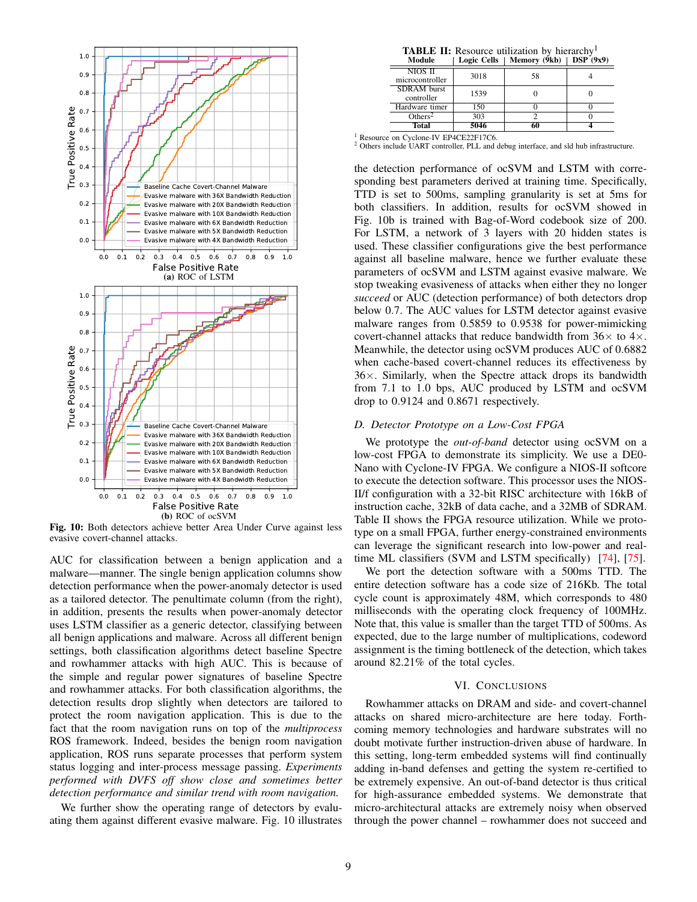<span id="page-8-0"></span>

Fig. 10: Both detectors achieve better Area Under Curve against less evasive covert-channel attacks.

AUC for classification between a benign application and a malware—manner. The single benign application columns show detection performance when the power-anomaly detector is used as a tailored detector. The penultimate column (from the right), in addition, presents the results when power-anomaly detector uses LSTM classifier as a generic detector, classifying between all benign applications and malware. Across all different benign settings, both classification algorithms detect baseline Spectre and rowhammer attacks with high AUC. This is because of the simple and regular power signatures of baseline Spectre and rowhammer attacks. For both classification algorithms, the detection results drop slightly when detectors are tailored to protect the room navigation application. This is due to the fact that the room navigation runs on top of the *multiprocess* ROS framework. Indeed, besides the benign room navigation application, ROS runs separate processes that perform system status logging and inter-process message passing. *Experiments performed with DVFS off show close and sometimes better detection performance and similar trend with room navigation.*

We further show the operating range of detectors by evaluating them against different evasive malware. [Fig. 10](#page-8-0) illustrates

| <b>TABLE II:</b> Resource utilization by hierarchy <sup>1</sup> |  |  |  |
|-----------------------------------------------------------------|--|--|--|
|-----------------------------------------------------------------|--|--|--|

<span id="page-8-1"></span>

| Module                           | Logic Cells | Memory (9kb) | $\bf{DSP}$ (9x9) |
|----------------------------------|-------------|--------------|------------------|
| NIOS II<br>microcontroller       | 3018        | 58           |                  |
| <b>SDRAM</b> burst<br>controller | 1539        |              |                  |
| Hardware timer                   | 150         |              |                  |
| Others <sup>2</sup>              | 303         |              |                  |
| <b>Total</b>                     | 5046        |              |                  |

<sup>1</sup> Resource on Cyclone-IV EP4CE22F17C6.

<sup>2</sup> Others include UART controller, PLL and debug interface, and sld hub infrastructure.

the detection performance of ocSVM and LSTM with corresponding best parameters derived at training time. Specifically, TTD is set to 500ms, sampling granularity is set at 5ms for both classifiers. In addition, results for ocSVM showed in [Fig. 10b](#page-8-0) is trained with Bag-of-Word codebook size of 200. For LSTM, a network of 3 layers with 20 hidden states is used. These classifier configurations give the best performance against all baseline malware, hence we further evaluate these parameters of ocSVM and LSTM against evasive malware. We stop tweaking evasiveness of attacks when either they no longer *succeed* or AUC (detection performance) of both detectors drop below 0.7. The AUC values for LSTM detector against evasive malware ranges from 0.5859 to 0.9538 for power-mimicking covert-channel attacks that reduce bandwidth from  $36\times$  to  $4\times$ . Meanwhile, the detector using ocSVM produces AUC of 0.6882 when cache-based covert-channel reduces its effectiveness by  $36\times$ . Similarly, when the Spectre attack drops its bandwidth from 7.1 to 1.0 bps, AUC produced by LSTM and ocSVM drop to 0.9124 and 0.8671 respectively.

## *D. Detector Prototype on a Low-Cost FPGA*

We prototype the *out-of-band* detector using ocSVM on a low-cost FPGA to demonstrate its simplicity. We use a DE0- Nano with Cyclone-IV FPGA. We configure a NIOS-II softcore to execute the detection software. This processor uses the NIOS-II/f configuration with a 32-bit RISC architecture with 16kB of instruction cache, 32kB of data cache, and a 32MB of SDRAM. [Table II](#page-8-1) shows the FPGA resource utilization. While we prototype on a small FPGA, further energy-constrained environments can leverage the significant research into low-power and realtime ML classifiers (SVM and LSTM specifically) [\[74\]](#page-9-65), [\[75\]](#page-9-66).

We port the detection software with a 500ms TTD. The entire detection software has a code size of 216Kb. The total cycle count is approximately 48M, which corresponds to 480 milliseconds with the operating clock frequency of 100MHz. Note that, this value is smaller than the target TTD of 500ms. As expected, due to the large number of multiplications, codeword assignment is the timing bottleneck of the detection, which takes around 82.21% of the total cycles.

### VI. CONCLUSIONS

Rowhammer attacks on DRAM and side- and covert-channel attacks on shared micro-architecture are here today. Forthcoming memory technologies and hardware substrates will no doubt motivate further instruction-driven abuse of hardware. In this setting, long-term embedded systems will find continually adding in-band defenses and getting the system re-certified to be extremely expensive. An out-of-band detector is thus critical for high-assurance embedded systems. We demonstrate that micro-architectural attacks are extremely noisy when observed through the power channel – rowhammer does not succeed and